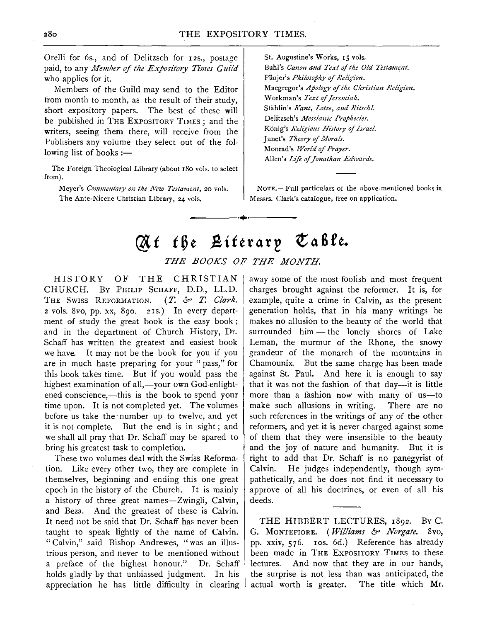Orelli for 6s., and of Delitzsch for 12s., postage paid, to any *Member of the Expository Times Guild* who applies for it.

Members of the Guild may send to the Editor from month to month, as the result of their study, short expository papers. The best of these will be published in THE ExPoSITORY TIMES; and the writers, seeing them there, will receive from the l'ublishers any volume they select out of the following list of books  $:=$ 

The Foreign Theological Library (about ISO vols. to select from).

Meyer's *Commentary on the New Testament,* 20 vols. The Ante-Nicene Christian Library, 24 vols.

St. Augustine's Works, 15 vols. Buhl's *Canon and Text of the Old Testament*. Pünjer's *Philosophy of Religion*. Macgregor's *Apology of the Christian Religion*. \Vorkman's *Text o.f feremiah.*  Stahlin's *Kant, Lotze, and Ritschl.*  Delitzsch's *Messianic Prophecies*. König's *Religious History of Israel*, Janet's *Theory of Morals*. Monrad's World of Prayer. Allen's Life of Jonathan Edwards.

NoTE.-Full particulars of the above-mentioned books in Messrs. Clark's catalogue, free on application.

## At the Literary Cable. *THE BOOKS OF THE MONTH.*

-----·~·-----

HISTORY OF THE CHRISTIAN CHURCH. BY PHILIP SCHAFF, D.D., LL.D. THE SWISS REFORMATION. (T. & T. Clark. 2 vols. 8vo, pp. xx, 8go. 2 rs.) In every department of study the great book is the easy book; and in the department of Church History, Dr. Schaff has written the greatest and easiest book we have. It may not be the book for you if you are in much haste preparing for your "pass," for this book takes time. But if you would pass the highest examination of all,-your own God-enlightened conscience,—this is the book to spend your time upon. It is not completed yet. The volumes before us take the· number up to twelve, and yet it is not complete. But the end is in sight; and we shall all pray that Dr. Schaff may be spared to bring his greatest task to completion.

These two volumes deal with the Swiss Reformation. Like every other two, they are complete in themselves, beginning and ending this one great epoch in the history of the Church. It is mainly a history of three great names—Zwingli, Calvin, and Beza. And the greatest of these is Calvin. It need not be said that Dr. Schaff has never been taught to speak lightly of the name of Calvin. "Calvin," said Bishop Andrewes, "was an illustrious person, and never to be mentioned without a preface of the highest honour." Dr. Schaff holds gladly by that unbiassed judgment. In his appreciation he has little difficulty in clearing away some of the most foolish and most frequent charges brought against the reformer. It is, for example, quite a crime in Calvin, as the present generation holds, that in his many writings he makes no allusion to the beauty of the world that surrounded him - the lonely shores of Lake Leman, the murmur of the Rhone, the snowy grandeur of the monarch of the mountains in Chamounix. But the same charge has been made against St. Paul. And here it is enough to say that it was not the fashion of that day-it is little more than a fashion now with many of us-to make such allusions in writing. There are no such references in the writings of any of the other reformers, and yet it is never charged against some of them that they were insensible to the beauty and the joy of nature and humanity. But it is right to add that Dr. Schaff is no panegyrist of Calvin. He judges independently, though sympathetically, and he does not find it necessary to approve of all his doctrines, or even of all his deeds.

THE HIBBERT LECTURES, 1892. BY C. G. MoNTEFIORE. ( *Williams* & *Norgate.* 8vo, pp. xxiv, 576. ros. 6d.) Reference has already been made in THE EXPOSITORY TIMES to these lectures. And now that they are in our hands, the surprise is not less than was anticipated, the actual worth is greater. The title which Mr.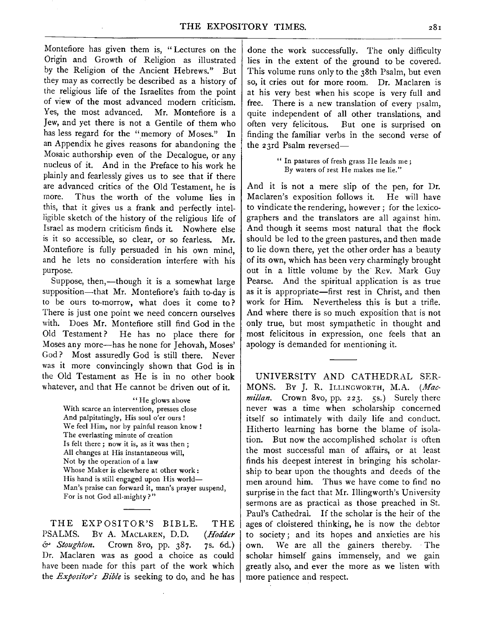Montefiore has given them is, "Lectures on the Origin and Growth of Religion as illustrated by the Religion of the Ancient Hebrews." But they may as correctly be described as a history of the religious life of the Israelites from the point of view of the most advanced modern criticism. Yes, the most advanced. Mr. Montefiore is a Jew, and yet there is not a Gentile of them who has less regard for the "memory of Moses." In an Appendix he gives reasons for abandoning the Mosaic authorship even of the Decalogue, or any nucleus of it. And in the Preface to his work he plainly and fearlessly gives us to see that if there are advanced critics of the Old Testament, he is more. Thus the worth of the volume lies in this, that it gives us a frank and perfectly intelligible sketch of the history of the religious life of Israel as modern criticism finds it. Now here else is it so accessible, so clear, or so fearless. Mr. Montefiore is fully persuaded in his own mind, and he lets no consideration interfere with his purpose.

Suppose, then,—though it is a somewhat large supposition-that Mr. Montefiore's faith to-day is to be ours to-morrow, what does it come to? There is just one point we need concern ourselves with. Does Mr. Montefiore still find God in the Old Testament? He has no place there for Moses any more-has he none for Jehovah, Moses' God? Most assuredly God is still there. Never was it more convincingly shown that God is in the Old Testament as He is in no other book whatever, and that He cannot be driven out of it.

> "He glows above With scarce an intervention, presses close And palpitatingly, His soul o'er ours ! We feel Him, nor by painful reason know ! The everlasting minute of creation Is felt there ; now it is, as it was then ; All changes at His instantaneous will, Not by the operation of a law Whose Maker is elsewhere at other work: His hand is still engaged upon His world-Man's praise can forward it, man's prayer suspend, For is not God all-mighty?"

THE EXPOSITOR'S BIBLE. THE PSALMS. BY A. MACLAREN, D.D. *(Hodder*  &> *Stoughton.* Crown 81•0, pp. 387. 7s. 6d.) Dr. Maclaren was as good a choice as could have been made for this part of the work which the *Expositor's Bible* is seeking to do, and he has

done the work successfully. The only difficulty lies in the extent of the ground to be covered. This volume runs only to the 38th Psalm, but even so, it cries out for more room. Dr. Maclaren is at his very best when his scope is very full and free. There is a new translation of every psalm, quite independent of all other translations, and often very felicitous. But one is surprised on finding the familiar verbs in the second verse of the  $23rd$  Psalm reversed-

> " In pastures of fresh grass He leads me ; By waters of rest He makes me lie."

And it is not a mere slip of the pen, for Dr. Maclaren's exposition follows it. He will have to vindicate the rendering, however ; for the lexicographers and the translators are all against him. And though it seems most natural that the flock should be led to the green pastures, and then made to lie down there, yet the other order has a beauty of its own, which has been very charmingly brought out in a little volume by the· Rev. Mark Guy Pearse. And the spiritual application is as true as it is appropriate—first rest in Christ, and then work for Him. Nevertheless this is but a trifle. And where there is so much exposition that is not only true, but most sympathetic in thought and most felicitous in expression, one feels that an apology is demanded for mentioning it.

UNIVERSITY AND CATHEDRAL SER-MONS. BY J. R. ILLINGWORTH, M.A. *(Mac*millan. Crown 8vo, pp. 223. 5s.) Surely there never was a time when scholarship concerned itself so intimately with daily life and conduct. Hitherto learning has borne the blame of isolation. But now the accomplished scholar is often the most successful man of affairs, or at least finds his deepest interest in bringing his scholarship to bear upon the thoughts and deeds of the men around him. Thus we have come to find no surprise in the fact that Mr. Illingworth's University sermons are as practical as those preached in St. Paul's Cathedral. If the scholar is the heir of the ages of cloistered thinking, he is now the debtor to society; and its hopes and anxieties are his own. We are all the gainers thereby. The scholar himself gains immensely, and we gain greatly also, and ever the more as we listen with more patience and respect.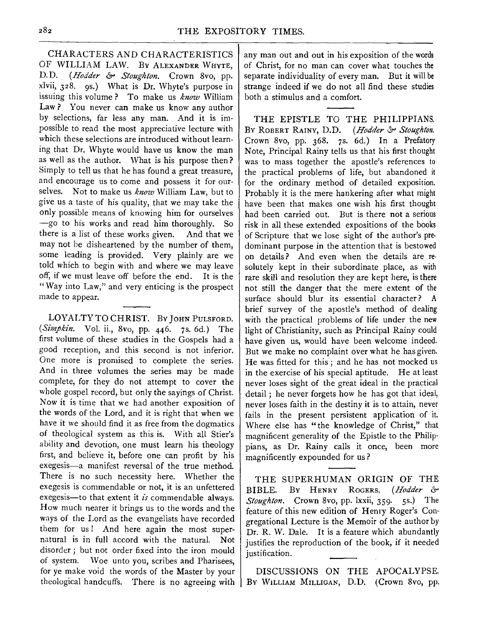CHARACTERS AND CHARACTERISTICS OF WILLIAM LAW. BY ALEXANDER WHYTE, D. D. *(Hodder &- Stoughton.* Crown 8vo, pp. xlvii, 328. gs.) What is Dr. Whyte's purpose in issuing this volume ? To make us *know* William Law? You never can make us know any author by selections, far less any man. And it is impossible to read the most appreciative lecture with which these selections are introduced without learning that Dr. Whyte would have us know the man as well as the author. What is his purpose then? Simply to tell us that he has found a great treasure, and encourage us to come and possess it for ourselves. Not to make us *know* William Law, but to give us a taste of his quality, that we may take the only possible means of knowing him for ourselves -go to his works and read him thoroughly. So there is a list of these works given. And that we may not be disheartened by the number of them, some leading is provided. Very plainly are we told which to begin with and where we may leave off, if we must leave off before the end. It is the "Way into Law," and very enticing is the prospect made to appear.

LOYALTY TO CHRIST. BY JOHN PULSFORD. *(Simpkin.* Vol. ii., 8vo, pp. 446. 7s. 6d.) The first volume of these studies in the Gospels had a good reception, and this second is not inferior. One more is promised to complete the series. And in three volumes the series may be made complete, for they do not attempt to cover the whole gospel record, but only the sayings of Christ. Now it is time that we had another exposition of the words of the Lord, and it is right that when we have it we should find it as free from the dogmatics of theological system as this is. With all Stier's ability and devotion, one must learn his theology first, and believe it, before one can profit by his exegesis-a manifest reversal of the true method. There is no such necessity here. Whether the exegesis is commendable or not, it is an unfettered exegesis-to that extent it *is* commendable always. How much nearer it brings us to the words and the ways of the Lord as the evangelists have recorded them for us ! And here again the most supernatural is in full accord with the natural. Not disorder; but not order fixed into the iron mould of system. Woe unto you, scribes and Pharisees, for ye make void the words of the Master by your theological handcuffs. There is no agreeing with

any man out and out in his exposition of the words of Christ, for no man can cover what touches the separate individuality of every man. But it will be strange indeed if we do not all find these studies both a stimulus and a comfort.

THE EPISTLE TO THE PHILIPPIANS. BY ROBERT RAINY, D.D. (Hodder & Stoughton. Crown 8vo, pp. 368. 7s. 6d.) In a Prefatory Note, Principal Rainy tells us that his first thought was to mass together the apostle's references to the practical problems of life, but abandoned it for the ordinary method of detailed exposition. Probably it is the mere hankering after what might have been that makes one wish his first thought had been carried out. But is there not a serious risk in all these extended expositions of the books of Scripture that we lose sight of the author's predominant purpose in the attention that is bestowed on details? And even when the details are resolutely kept in their subordinate place, as with rare skill and resolution they are kept here, is there not still the danger that the mere extent of the surface should blur its essential character? A brief survey of the apostle's method of dealing with the practical problems of life under the new light of Christianity, such as Principal Rainy could have given us, would have been welcome indeed. But we make no complaint over what he has given. He was fitted for this ; and he has not mocked us in the exercise of his special aptitude. He at least never loses sight of the great ideal in the practical detail ; he never forgets how he has got that ideal, never loses faith in the destiny it is to attain, never fails in the present persistent application of it. Where else has "the knowledge of Christ," that magnificent generality of the Epistle to the Philippians, as Dr. Rainy calls it once, been more magnificently expounded for us?

THE SUPERHUMAN ORIGIN OF THE BIBLE. BY HENRY RoGERS. *(Hodder* &> Stoughton. Crown 8vo, pp. lxxii, 359. 5s.) The feature of this new edition of Henry Roger's Congregational Lecture is the Memoir of the author by Dr. R. W. Dale. It is a feature which abundantly justifies the reproduction of the book, if it needed justification.

DISCUSSIONS ON THE APOCALYPSE. BY WILLIAM MILLIGAN, D.D. (Crown 8vo, pp.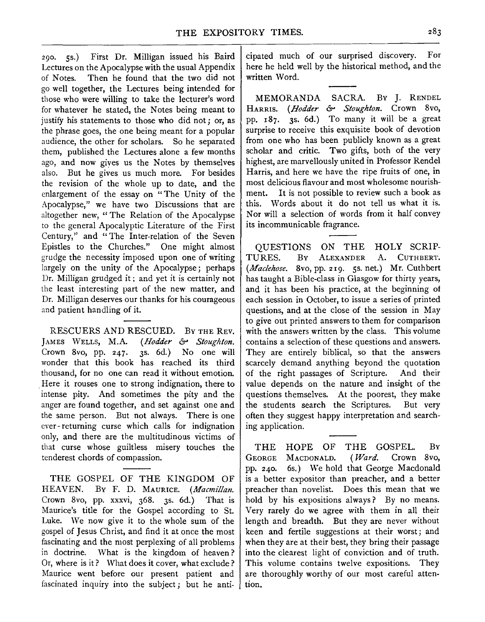290. ss.) First Dr. Milligan issued his Baird Lectures on the Apocalypse with the usual Appendix of Notes. Then he found that the two did not go well together, the Lectures being intended for those who were willing to take the lecturer's word for whatever he stated, the Notes being meant to justify his statements to those who did not; or, as the phrase goes, the one being meant for a popular audience, the other for scholars. So he separated them, published the Lectures alone a few months ago, and now gives us the Notes by themselves also. But he gives us much more. For besides the revision of the whole up to date, and the enlargement of the essay on "The Unity of the Apocalypse," we have two Discussions that are altogether new, " The Relation of the Apocalypse to the general Apocalyptic Literature of the First Century," and "The Inter-relation of the Seven Epistles to the Churches." One might almost grudge the necessity imposed upon one of writing largely on the unity of the Apocalypse; perhaps Dr. Milligan grudged it ; and yet it is certainly not the least interesting part of the new matter, and Dr. Milligan deserves our thanks for his courageous and patient handling of it.

RESCUERS AND RESCUED. Bv THE REv. JAMES WELLS, M.A. (Hodder & Stoughton. Crown 8vo, pp. 247. 3s. 6d.) No one will wonder that this book has reached its third thousand, for no one can read it without emotion. . Here it rouses one to strong indignation, there to intense pity. And sometimes the pity and the anger are found together, and set against one and the same person. But not always. There is one ever- returning curse which calls for indignation only, and there are the multitudinous victims of that curse whose guiltless misery touches the tenderest chords of compassion.

THE GOSPEL OF THE KINGDOM OF HEAVEN. Bv F. D. MAURICE. *(Macmillan.*  Crown 8vo, pp. xxxvi, 368. 3s. 6d.) That is Maurice's title for the Gospel according to St. Luke. We now give it to the whole sum of the gospel of Jesus Christ, and find it at once the most fascinating and the most perplexing of all problems in doctrine. What is the kingdom of heaven? Or, where is it? What does it cover, what exclude? Maurice went before our present patient and fascinated inquiry into the subject; but he anticipated much of our surprised discovery. For here he held well by the historical method, and the written Word.

MEMORANDA SACRA. Bv J. RENDEL HARRIS. *(Hodder* &- *Stoughton.* Crown 8vo, pp. 187. 3s. 6d.) To many it will be a great surprise to receive this exquisite book of devotion from one who has been publicly known as a great scholar and critic. Two gifts, both of the very highest, are marvellously united in Professor Rende! Harris, and here we have the ripe fruits of one, in most delicious flavour and most wholesome nourishment. It is not possible to review such a book as this. Words about it do not tell us what it is. Nor will a selection of words from it half convey its incommunicable fragrance.

QUESTIONS ON THE HOLY SCRIP-TURES. BY ALEXANDER A. CUTHBERT. (*Maclehose.* 8vo, pp. 219. 5s. net.) Mr. Cuthbert has taught a Bible-class in Glasgow for thirty years, and it has been his practice, at the beginning of each session in October, to issue a series of printed questions, and at the close of the session in May to give out printed answers to them for comparison with the answers written by the class. This volume contains a selection of these questions and answers. They are entirely biblical, so that the answers scarcely demand anything beyond the quotation of the right passages of Scripture. And their value depends on the nature and insight of the questions themselves. At the poorest, they make the students search the Scriptures. But very often they suggest happy interpretation and searching application.

THE HOPE OF THE GOSPEL. Bv GEORGE MACDONALD. *(Ward.* Crown 8vo, pp. 240. 6s.) We hold that George Macdonald is a better expositor than preacher, and a better preacher than novelist. Does this mean that we hold by his expositions always? By no means. Very rarely do we agree with them in all their length and breadth. But they are never without keen and fertile suggestions at their worst; and when they are at their best, they bring their passage into the clearest light of conviction and of truth. This volume contains twelve expositions. They are thoroughly worthy of our most careful attention.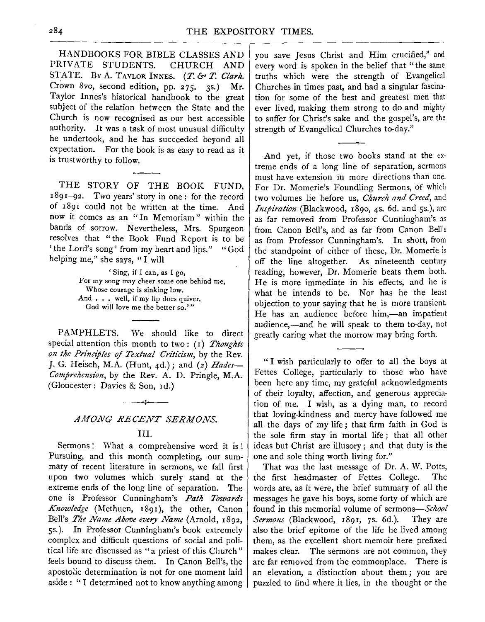HANDBOOKS FOR BIBLE CLASSES AND PRIVATE STUDENTS. CHURCH AND STATE. BY A. TAYLOR INNES. (T. & T. Clark. Crown 8vo, second edition, pp. 275. 3s.) Mr. Taylor Innes's historical handbook to the great subject of the relation between the State and the Church is now recognised as our best accessible authority. It was a task of most unusual difficulty he undertook, and he has succeeded beyond all expectation. For the book is as easy to read as it is trustworthy to follow.

THE STORY OF THE BOOK FUND, r8gr-gz. Two years' story in one: for the record of r8gr could not be written at the time. And now it comes as an "In Memoriam" within the bands of sorrow. Nevertheless, Mrs. Spurgeon resolves that "the Book Fund Report is to be 'the Lord's song' from my heart and lips." "God helping me," she says, "I will

> 'Sing, if I can, as I go, For my song may cheer some one behind me, Whose courage is sinking low. And  $\cdots$  well, if my lip does quiver, God will love me the better so.'"

PAMPHLETS. We should like to direct special attention this month to two : ( r) *Thoughts*  on the Principles of Textual Criticism, by the Rev. J. G. Reisch, M.A. (Hunt, 4d.); and (2) *Hades-Comprehension,* by the Rev. A. D. Pringle, M.A. (Gloucester: Davies & Son, rd.)

## *AMONG RECENT SERMONS.*

## III.

Sermons ! What a comprehensive word it is ! Pursuing, and this month completing, our summary of recent literature in sermons, we fall first upon two volumes which surely stand at the extreme ends of the long line of separation. The one is Professor Cunningham's *Path Towards Knowledge* (Methuen, r8gr), the other, Canon Bell's *The Name Above every Name* (Arnold, r8gz, ss. ). In Professor Cunningham's book extremely complex and difficult questions of social and political life are discussed as "a priest of this Church" feels bound to discuss them. In Canon Bell's, the apostolic determination is not for one moment laid aside : " I determined not to know anything among you save Jesus Christ and Him crucified," and every word is spoken in the belief that "the same truths which were the strength of Evangelical Churches in times past, and had a singular fascina· tion for some of the best and greatest men that ever lived, making them strong to do and mighty to suffer for Christ's sake and the gospel's, are the strength of Evangelical Churches to-day."

And yet, if those two books stand at the ex· treme ends of a long line of separation, sermons must have extension in more directions than one. For Dr. Momerie's Foundling Sermons, of which two volumes lie before us, *Church and Creed,* and *Inspiration* (Blackwood, 1890, 4s. 6d. and 5s.), are as far removed from Professor Cunningham's as from Canon Bell's, and as far from Canon Bell's as from Professor Cunningham's. In short, from the standpoint of either of these, Dr. Momerie is off the line altogether. As nineteenth century reading, however, Dr. Momerie beats them both. He is more immediate in his effects, and he is what he intends to be. Nor has he the least objection to your saying that he is more transient. He has an audience before him,-an impatient audience,-and he will speak to them to-day, not greatly caring what the morrow may bring forth.

" I wish particularly to offer to all the boys at Fettes College, particularly to those who have been here any time, my grateful acknowledgments of their loyalty, affection, and generous appreciation of me. I wish, as a dying man, to record that loving-kindness and mercy have followed me all the days of my life; that firm faith in God is the sole firm stay in mortal life ; that all other ideas but Christ are illusory; and that duty is the one and sole thing worth living for."

That was the last message of Dr. A. W. Potts, the first headmaster of Fettes College. The words are, as it were, the brief summary of all the messages he gave his boys, some forty of which are found in this memorial volume of *sermons-School Sermons* (Blackwood, r8gr, 7s. 6d.). They are also the brief epitome of the life he lived among them, as the excellent short memoir here prefixed makes clear. The sermons are not common, they are far removed from the commonplace. There is an elevation, a distinction about them; you are puzzled to find where it lies, in the thought or the